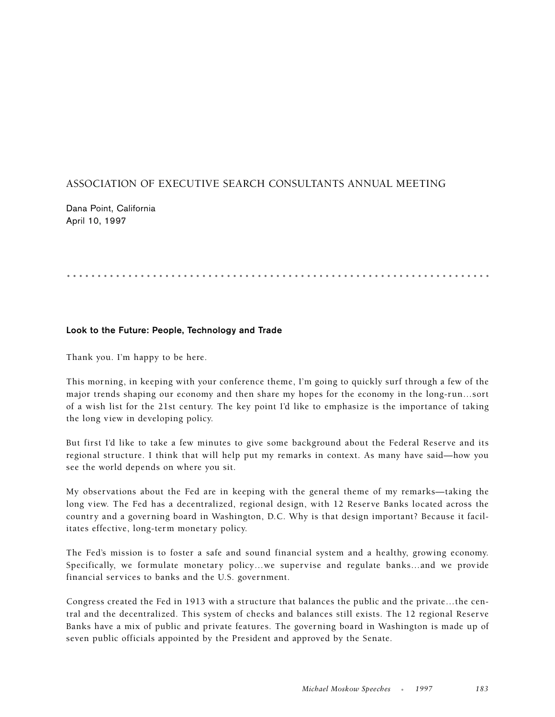## ASSOCIATION OF EXECUTIVE SEARCH CONSULTANTS ANNUAL MEETING

Dana Point, California April 10, 1997

## .....................................................................

## **Look to the Future: People, Technology and Trade**

Thank you. I'm happy to be here.

This morning, in keeping with your conference theme, I'm going to quickly surf through a few of the major trends shaping our economy and then share my hopes for the economy in the long-run…sort of a wish list for the 21st century. The key point I'd like to emphasize is the importance of taking the long view in developing policy.

But first I'd like to take a few minutes to give some background about the Federal Reserve and its regional structure. I think that will help put my remarks in context. As many have said—how you see the world depends on where you sit.

My observations about the Fed are in keeping with the general theme of my remarks—taking the long view. The Fed has a decentralized, regional design, with 12 Reserve Banks located across the country and a governing board in Washington, D.C. Why is that design important? Because it facilitates effective, long-term monetary policy.

The Fed's mission is to foster a safe and sound financial system and a healthy, growing economy. Specifically, we formulate monetary policy…we supervise and regulate banks…and we provide financial services to banks and the U.S. government.

Congress created the Fed in 1913 with a structure that balances the public and the private…the central and the decentralized. This system of checks and balances still exists. The 12 regional Reserve Banks have a mix of public and private features. The governing board in Washington is made up of seven public officials appointed by the President and approved by the Senate.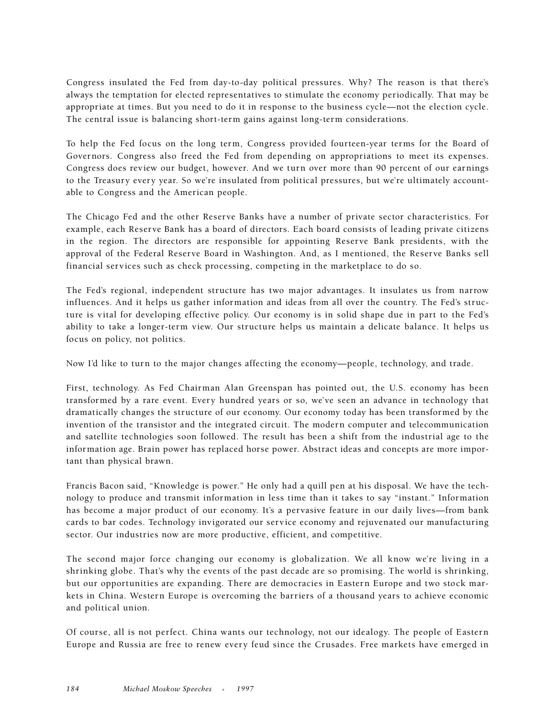Congress insulated the Fed from day-to-day political pressures. Why? The reason is that there's always the temptation for elected representatives to stimulate the economy periodically. That may be appropriate at times. But you need to do it in response to the business cycle—not the election cycle. The central issue is balancing short-term gains against long-term considerations.

To help the Fed focus on the long term, Congress provided fourteen-year terms for the Board of Governors. Congress also freed the Fed from depending on appropriations to meet its expenses. Congress does review our budget, however. And we turn over more than 90 percent of our earnings to the Treasury every year. So we're insulated from political pressures, but we're ultimately accountable to Congress and the American people.

The Chicago Fed and the other Reserve Banks have a number of private sector characteristics. For example, each Reserve Bank has a board of directors. Each board consists of leading private citizens in the region. The directors are responsible for appointing Reserve Bank presidents, with the approval of the Federal Reserve Board in Washington. And, as I mentioned, the Reserve Banks sell financial services such as check processing, competing in the marketplace to do so.

The Fed's regional, independent structure has two major advantages. It insulates us from narrow influences. And it helps us gather information and ideas from all over the country. The Fed's structure is vital for developing effective policy. Our economy is in solid shape due in part to the Fed's ability to take a longer-term view. Our structure helps us maintain a delicate balance. It helps us focus on policy, not politics.

Now I'd like to turn to the major changes affecting the economy—people, technology, and trade.

First, technology. As Fed Chairman Alan Greenspan has pointed out, the U.S. economy has been transformed by a rare event. Every hundred years or so, we've seen an advance in technology that dramatically changes the structure of our economy. Our economy today has been transformed by the invention of the transistor and the integrated circuit. The modern computer and telecommunication and satellite technologies soon followed. The result has been a shift from the industrial age to the information age. Brain power has replaced horse power. Abstract ideas and concepts are more important than physical brawn.

Francis Bacon said, "Knowledge is power." He only had a quill pen at his disposal. We have the technology to produce and transmit information in less time than it takes to say "instant." Information has become a major product of our economy. It's a pervasive feature in our daily lives—from bank cards to bar codes. Technology invigorated our service economy and rejuvenated our manufacturing sector. Our industries now are more productive, efficient, and competitive.

The second major force changing our economy is globalization. We all know we're living in a shrinking globe. That's why the events of the past decade are so promising. The world is shrinking, but our opportunities are expanding. There are democracies in Eastern Europe and two stock markets in China. Western Europe is overcoming the barriers of a thousand years to achieve economic and political union.

Of course, all is not perfect. China wants our technology, not our idealogy. The people of Eastern Europe and Russia are free to renew every feud since the Crusades. Free markets have emerged in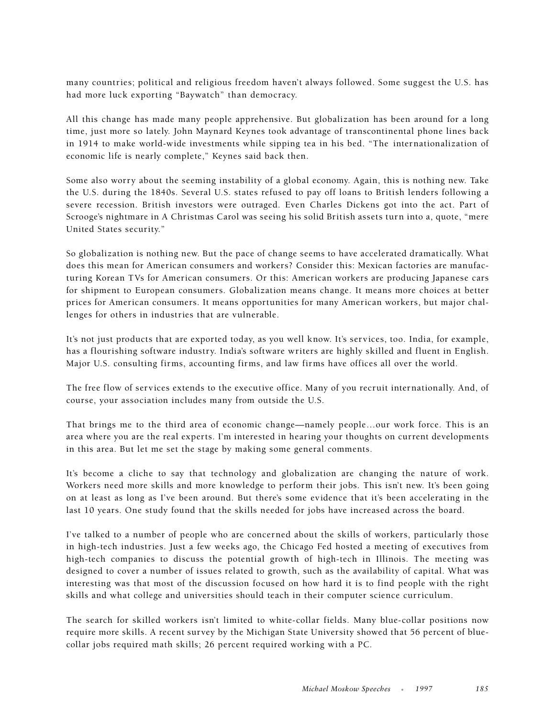many countries; political and religious freedom haven't always followed. Some suggest the U.S. has had more luck exporting "Baywatch" than democracy.

All this change has made many people apprehensive. But globalization has been around for a long time, just more so lately. John Maynard Keynes took advantage of transcontinental phone lines back in 1914 to make world-wide investments while sipping tea in his bed. "The internationalization of economic life is nearly complete," Keynes said back then.

Some also worry about the seeming instability of a global economy. Again, this is nothing new. Take the U.S. during the 1840s. Several U.S. states refused to pay off loans to British lenders following a severe recession. British investors were outraged. Even Charles Dickens got into the act. Part of Scrooge's nightmare in A Christmas Carol was seeing his solid British assets turn into a, quote, "mere United States security."

So globalization is nothing new. But the pace of change seems to have accelerated dramatically. What does this mean for American consumers and workers? Consider this: Mexican factories are manufacturing Korean TVs for American consumers. Or this: American workers are producing Japanese cars for shipment to European consumers. Globalization means change. It means more choices at better prices for American consumers. It means opportunities for many American workers, but major challenges for others in industries that are vulnerable.

It's not just products that are exported today, as you well know. It's services, too. India, for example, has a flourishing software industry. India's software writers are highly skilled and fluent in English. Major U.S. consulting firms, accounting firms, and law firms have offices all over the world.

The free flow of services extends to the executive office. Many of you recruit internationally. And, of course, your association includes many from outside the U.S.

That brings me to the third area of economic change—namely people…our work force. This is an area where you are the real experts. I'm interested in hearing your thoughts on current developments in this area. But let me set the stage by making some general comments.

It's become a cliche to say that technology and globalization are changing the nature of work. Workers need more skills and more knowledge to perform their jobs. This isn't new. It's been going on at least as long as I've been around. But there's some evidence that it's been accelerating in the last 10 years. One study found that the skills needed for jobs have increased across the board.

I've talked to a number of people who are concerned about the skills of workers, particularly those in high-tech industries. Just a few weeks ago, the Chicago Fed hosted a meeting of executives from high-tech companies to discuss the potential growth of high-tech in Illinois. The meeting was designed to cover a number of issues related to growth, such as the availability of capital. What was interesting was that most of the discussion focused on how hard it is to find people with the right skills and what college and universities should teach in their computer science curriculum.

The search for skilled workers isn't limited to white-collar fields. Many blue-collar positions now require more skills. A recent survey by the Michigan State University showed that 56 percent of bluecollar jobs required math skills; 26 percent required working with a PC.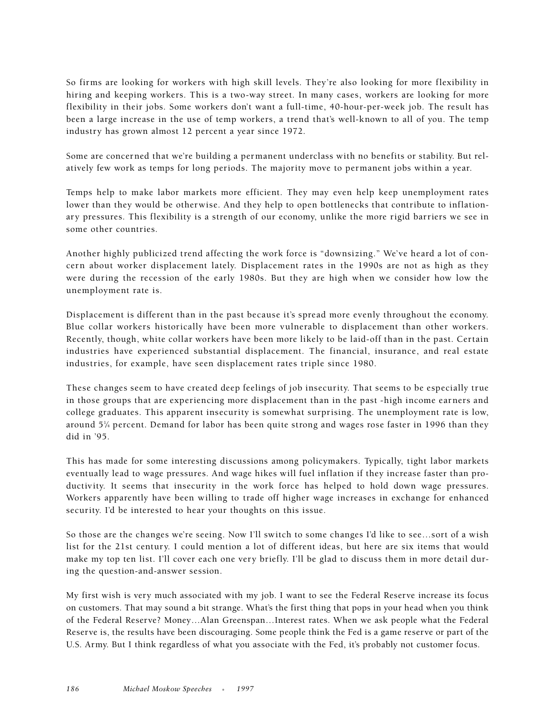So firms are looking for workers with high skill levels. They're also looking for more flexibility in hiring and keeping workers. This is a two-way street. In many cases, workers are looking for more flexibility in their jobs. Some workers don't want a full-time, 40-hour-per-week job. The result has been a large increase in the use of temp workers, a trend that's well-known to all of you. The temp industry has grown almost 12 percent a year since 1972.

Some are concerned that we're building a permanent underclass with no benefits or stability. But relatively few work as temps for long periods. The majority move to permanent jobs within a year.

Temps help to make labor markets more efficient. They may even help keep unemployment rates lower than they would be otherwise. And they help to open bottlenecks that contribute to inflationary pressures. This flexibility is a strength of our economy, unlike the more rigid barriers we see in some other countries.

Another highly publicized trend affecting the work force is "downsizing." We've heard a lot of concern about worker displacement lately. Displacement rates in the 1990s are not as high as they were during the recession of the early 1980s. But they are high when we consider how low the unemployment rate is.

Displacement is different than in the past because it's spread more evenly throughout the economy. Blue collar workers historically have been more vulnerable to displacement than other workers. Recently, though, white collar workers have been more likely to be laid-off than in the past. Certain industries have experienced substantial displacement. The financial, insurance, and real estate industries, for example, have seen displacement rates triple since 1980.

These changes seem to have created deep feelings of job insecurity. That seems to be especially true in those groups that are experiencing more displacement than in the past -high income earners and college graduates. This apparent insecurity is somewhat surprising. The unemployment rate is low, around 51 ⁄4 percent. Demand for labor has been quite strong and wages rose faster in 1996 than they did in '95.

This has made for some interesting discussions among policymakers. Typically, tight labor markets eventually lead to wage pressures. And wage hikes will fuel inflation if they increase faster than productivity. It seems that insecurity in the work force has helped to hold down wage pressures. Workers apparently have been willing to trade off higher wage increases in exchange for enhanced security. I'd be interested to hear your thoughts on this issue.

So those are the changes we're seeing. Now I'll switch to some changes I'd like to see…sort of a wish list for the 21st century. I could mention a lot of different ideas, but here are six items that would make my top ten list. I'll cover each one very briefly. I'll be glad to discuss them in more detail during the question-and-answer session.

My first wish is very much associated with my job. I want to see the Federal Reserve increase its focus on customers. That may sound a bit strange. What's the first thing that pops in your head when you think of the Federal Reserve? Money…Alan Greenspan…Interest rates. When we ask people what the Federal Reserve is, the results have been discouraging. Some people think the Fed is a game reserve or part of the U.S. Army. But I think regardless of what you associate with the Fed, it's probably not customer focus.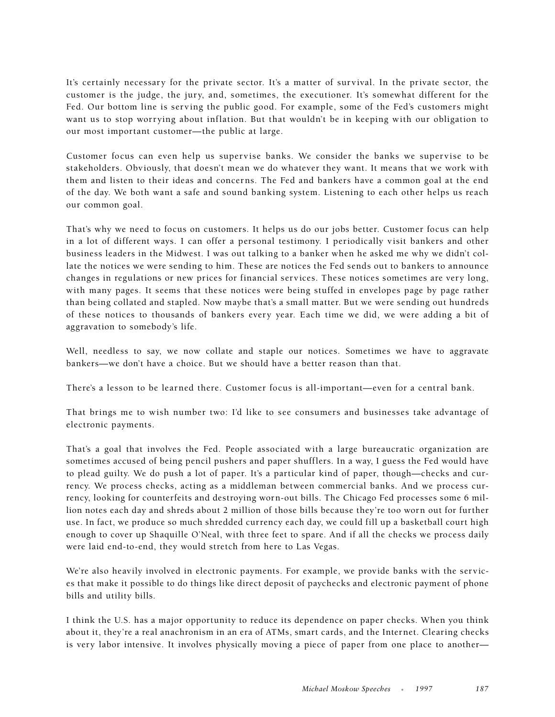It's certainly necessary for the private sector. It's a matter of survival. In the private sector, the customer is the judge, the jury, and, sometimes, the executioner. It's somewhat different for the Fed. Our bottom line is serving the public good. For example, some of the Fed's customers might want us to stop worrying about inflation. But that wouldn't be in keeping with our obligation to our most important customer—the public at large.

Customer focus can even help us supervise banks. We consider the banks we supervise to be stakeholders. Obviously, that doesn't mean we do whatever they want. It means that we work with them and listen to their ideas and concerns. The Fed and bankers have a common goal at the end of the day. We both want a safe and sound banking system. Listening to each other helps us reach our common goal.

That's why we need to focus on customers. It helps us do our jobs better. Customer focus can help in a lot of different ways. I can offer a personal testimony. I periodically visit bankers and other business leaders in the Midwest. I was out talking to a banker when he asked me why we didn't collate the notices we were sending to him. These are notices the Fed sends out to bankers to announce changes in regulations or new prices for financial services. These notices sometimes are very long, with many pages. It seems that these notices were being stuffed in envelopes page by page rather than being collated and stapled. Now maybe that's a small matter. But we were sending out hundreds of these notices to thousands of bankers every year. Each time we did, we were adding a bit of aggravation to somebody's life.

Well, needless to say, we now collate and staple our notices. Sometimes we have to aggravate bankers—we don't have a choice. But we should have a better reason than that.

There's a lesson to be learned there. Customer focus is all-important—even for a central bank.

That brings me to wish number two: I'd like to see consumers and businesses take advantage of electronic payments.

That's a goal that involves the Fed. People associated with a large bureaucratic organization are sometimes accused of being pencil pushers and paper shufflers. In a way, I guess the Fed would have to plead guilty. We do push a lot of paper. It's a particular kind of paper, though—checks and currency. We process checks, acting as a middleman between commercial banks. And we process currency, looking for counterfeits and destroying worn-out bills. The Chicago Fed processes some 6 million notes each day and shreds about 2 million of those bills because they're too worn out for further use. In fact, we produce so much shredded currency each day, we could fill up a basketball court high enough to cover up Shaquille O'Neal, with three feet to spare. And if all the checks we process daily were laid end-to-end, they would stretch from here to Las Vegas.

We're also heavily involved in electronic payments. For example, we provide banks with the services that make it possible to do things like direct deposit of paychecks and electronic payment of phone bills and utility bills.

I think the U.S. has a major opportunity to reduce its dependence on paper checks. When you think about it, they're a real anachronism in an era of ATMs, smart cards, and the Internet. Clearing checks is very labor intensive. It involves physically moving a piece of paper from one place to another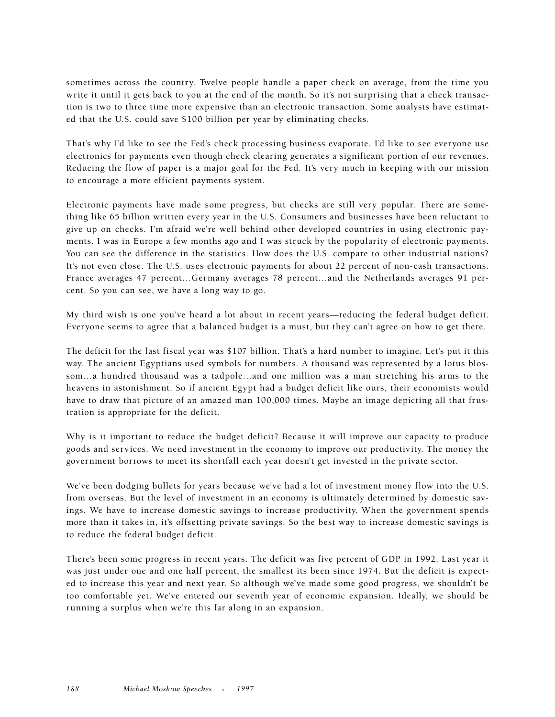sometimes across the country. Twelve people handle a paper check on average, from the time you write it until it gets back to you at the end of the month. So it's not surprising that a check transaction is two to three time more expensive than an electronic transaction. Some analysts have estimated that the U.S. could save \$100 billion per year by eliminating checks.

That's why I'd like to see the Fed's check processing business evaporate. I'd like to see everyone use electronics for payments even though check clearing generates a significant portion of our revenues. Reducing the flow of paper is a major goal for the Fed. It's very much in keeping with our mission to encourage a more efficient payments system.

Electronic payments have made some progress, but checks are still very popular. There are something like 65 billion written every year in the U.S. Consumers and businesses have been reluctant to give up on checks. I'm afraid we're well behind other developed countries in using electronic payments. I was in Europe a few months ago and I was struck by the popularity of electronic payments. You can see the difference in the statistics. How does the U.S. compare to other industrial nations? It's not even close. The U.S. uses electronic payments for about 22 percent of non-cash transactions. France averages 47 percent…Germany averages 78 percent…and the Netherlands averages 91 percent. So you can see, we have a long way to go.

My third wish is one you've heard a lot about in recent years—reducing the federal budget deficit. Everyone seems to agree that a balanced budget is a must, but they can't agree on how to get there.

The deficit for the last fiscal year was \$107 billion. That's a hard number to imagine. Let's put it this way. The ancient Egyptians used symbols for numbers. A thousand was represented by a lotus blossom…a hundred thousand was a tadpole…and one million was a man stretching his arms to the heavens in astonishment. So if ancient Egypt had a budget deficit like ours, their economists would have to draw that picture of an amazed man 100,000 times. Maybe an image depicting all that frustration is appropriate for the deficit.

Why is it important to reduce the budget deficit? Because it will improve our capacity to produce goods and services. We need investment in the economy to improve our productivity. The money the government borrows to meet its shortfall each year doesn't get invested in the private sector.

We've been dodging bullets for years because we've had a lot of investment money flow into the U.S. from overseas. But the level of investment in an economy is ultimately determined by domestic savings. We have to increase domestic savings to increase productivity. When the government spends more than it takes in, it's offsetting private savings. So the best way to increase domestic savings is to reduce the federal budget deficit.

There's been some progress in recent years. The deficit was five percent of GDP in 1992. Last year it was just under one and one half percent, the smallest its been since 1974. But the deficit is expected to increase this year and next year. So although we've made some good progress, we shouldn't be too comfortable yet. We've entered our seventh year of economic expansion. Ideally, we should be running a surplus when we're this far along in an expansion.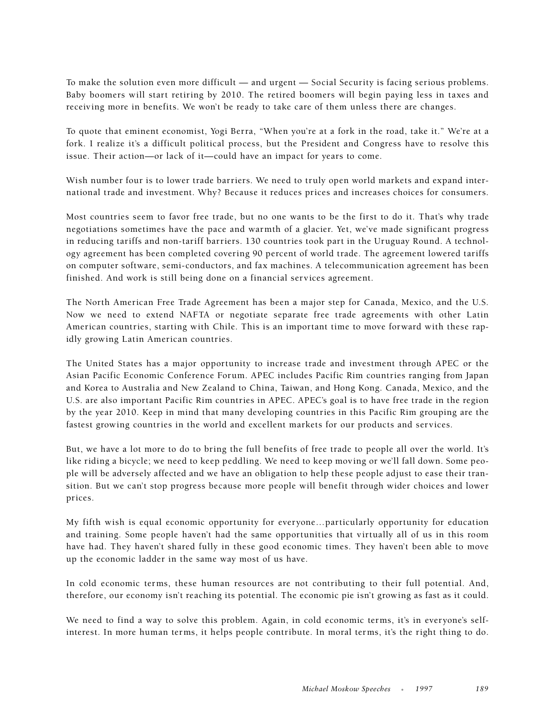To make the solution even more difficult — and urgent — Social Security is facing serious problems. Baby boomers will start retiring by 2010. The retired boomers will begin paying less in taxes and receiving more in benefits. We won't be ready to take care of them unless there are changes.

To quote that eminent economist, Yogi Berra, "When you're at a fork in the road, take it." We're at a fork. I realize it's a difficult political process, but the President and Congress have to resolve this issue. Their action—or lack of it—could have an impact for years to come.

Wish number four is to lower trade barriers. We need to truly open world markets and expand international trade and investment. Why? Because it reduces prices and increases choices for consumers.

Most countries seem to favor free trade, but no one wants to be the first to do it. That's why trade negotiations sometimes have the pace and warmth of a glacier. Yet, we've made significant progress in reducing tariffs and non-tariff barriers. 130 countries took part in the Uruguay Round. A technology agreement has been completed covering 90 percent of world trade. The agreement lowered tariffs on computer software, semi-conductors, and fax machines. A telecommunication agreement has been finished. And work is still being done on a financial services agreement.

The North American Free Trade Agreement has been a major step for Canada, Mexico, and the U.S. Now we need to extend NAFTA or negotiate separate free trade agreements with other Latin American countries, starting with Chile. This is an important time to move forward with these rapidly growing Latin American countries.

The United States has a major opportunity to increase trade and investment through APEC or the Asian Pacific Economic Conference Forum. APEC includes Pacific Rim countries ranging from Japan and Korea to Australia and New Zealand to China, Taiwan, and Hong Kong. Canada, Mexico, and the U.S. are also important Pacific Rim countries in APEC. APEC's goal is to have free trade in the region by the year 2010. Keep in mind that many developing countries in this Pacific Rim grouping are the fastest growing countries in the world and excellent markets for our products and services.

But, we have a lot more to do to bring the full benefits of free trade to people all over the world. It's like riding a bicycle; we need to keep peddling. We need to keep moving or we'll fall down. Some people will be adversely affected and we have an obligation to help these people adjust to ease their transition. But we can't stop progress because more people will benefit through wider choices and lower prices.

My fifth wish is equal economic opportunity for everyone…particularly opportunity for education and training. Some people haven't had the same opportunities that virtually all of us in this room have had. They haven't shared fully in these good economic times. They haven't been able to move up the economic ladder in the same way most of us have.

In cold economic terms, these human resources are not contributing to their full potential. And, therefore, our economy isn't reaching its potential. The economic pie isn't growing as fast as it could.

We need to find a way to solve this problem. Again, in cold economic terms, it's in everyone's selfinterest. In more human terms, it helps people contribute. In moral terms, it's the right thing to do.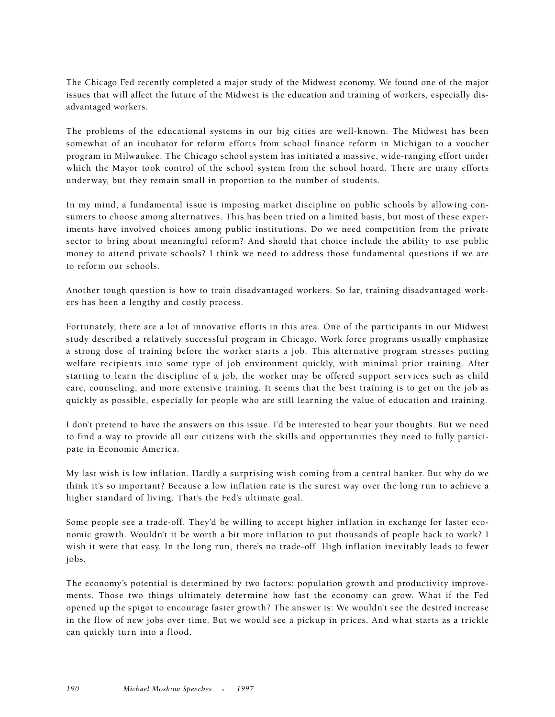The Chicago Fed recently completed a major study of the Midwest economy. We found one of the major issues that will affect the future of the Midwest is the education and training of workers, especially disadvantaged workers.

The problems of the educational systems in our big cities are well-known. The Midwest has been somewhat of an incubator for reform efforts from school finance reform in Michigan to a voucher program in Milwaukee. The Chicago school system has initiated a massive, wide-ranging effort under which the Mayor took control of the school system from the school hoard. There are many efforts underway, but they remain small in proportion to the number of students.

In my mind, a fundamental issue is imposing market discipline on public schools by allowing consumers to choose among alternatives. This has been tried on a limited basis, but most of these experiments have involved choices among public institutions. Do we need competition from the private sector to bring about meaningful reform? And should that choice include the ability to use public money to attend private schools? I think we need to address those fundamental questions if we are to reform our schools.

Another tough question is how to train disadvantaged workers. So far, training disadvantaged workers has been a lengthy and costly process.

Fortunately, there are a lot of innovative efforts in this area. One of the participants in our Midwest study described a relatively successful program in Chicago. Work force programs usually emphasize a strong dose of training before the worker starts a job. This alternative program stresses putting welfare recipients into some type of job environment quickly, with minimal prior training. After starting to learn the discipline of a job, the worker may be offered support services such as child care, counseling, and more extensive training. It seems that the best training is to get on the job as quickly as possible, especially for people who are still learning the value of education and training.

I don't pretend to have the answers on this issue. I'd be interested to hear your thoughts. But we need to find a way to provide all our citizens with the skills and opportunities they need to fully participate in Economic America.

My last wish is low inflation. Hardly a surprising wish coming from a central banker. But why do we think it's so important? Because a low inflation rate is the surest way over the long run to achieve a higher standard of living. That's the Fed's ultimate goal.

Some people see a trade-off. They'd be willing to accept higher inflation in exchange for faster economic growth. Wouldn't it be worth a bit more inflation to put thousands of people back to work? I wish it were that easy. In the long run, there's no trade-off. High inflation inevitably leads to fewer jobs.

The economy's potential is determined by two factors: population growth and productivity improvements. Those two things ultimately determine how fast the economy can grow. What if the Fed opened up the spigot to encourage faster growth? The answer is: We wouldn't see the desired increase in the flow of new jobs over time. But we would see a pickup in prices. And what starts as a trickle can quickly turn into a flood.